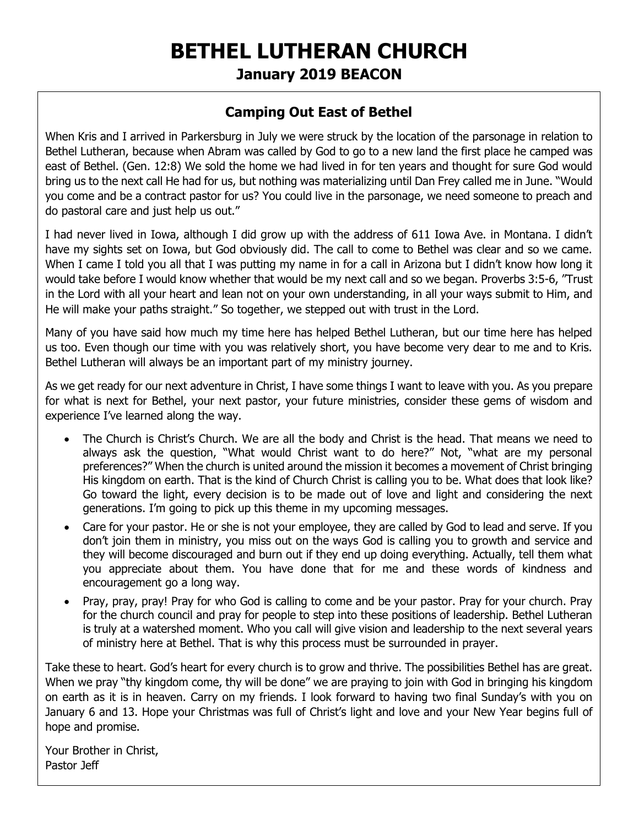# **BETHEL LUTHERAN CHURCH January 2019 BEACON**

### **Camping Out East of Bethel**

When Kris and I arrived in Parkersburg in July we were struck by the location of the parsonage in relation to Bethel Lutheran, because when Abram was called by God to go to a new land the first place he camped was east of Bethel. (Gen. 12:8) We sold the home we had lived in for ten years and thought for sure God would bring us to the next call He had for us, but nothing was materializing until Dan Frey called me in June. "Would you come and be a contract pastor for us? You could live in the parsonage, we need someone to preach and do pastoral care and just help us out."

I had never lived in Iowa, although I did grow up with the address of 611 Iowa Ave. in Montana. I didn't have my sights set on Iowa, but God obviously did. The call to come to Bethel was clear and so we came. When I came I told you all that I was putting my name in for a call in Arizona but I didn't know how long it would take before I would know whether that would be my next call and so we began. Proverbs 3:5-6, "Trust in the Lord with all your heart and lean not on your own understanding, in all your ways submit to Him, and He will make your paths straight." So together, we stepped out with trust in the Lord.

Many of you have said how much my time here has helped Bethel Lutheran, but our time here has helped us too. Even though our time with you was relatively short, you have become very dear to me and to Kris. Bethel Lutheran will always be an important part of my ministry journey.

As we get ready for our next adventure in Christ, I have some things I want to leave with you. As you prepare for what is next for Bethel, your next pastor, your future ministries, consider these gems of wisdom and experience I've learned along the way.

- The Church is Christ's Church. We are all the body and Christ is the head. That means we need to always ask the question, "What would Christ want to do here?" Not, "what are my personal preferences?" When the church is united around the mission it becomes a movement of Christ bringing His kingdom on earth. That is the kind of Church Christ is calling you to be. What does that look like? Go toward the light, every decision is to be made out of love and light and considering the next generations. I'm going to pick up this theme in my upcoming messages.
- Care for your pastor. He or she is not your employee, they are called by God to lead and serve. If you don't join them in ministry, you miss out on the ways God is calling you to growth and service and they will become discouraged and burn out if they end up doing everything. Actually, tell them what you appreciate about them. You have done that for me and these words of kindness and encouragement go a long way.
- Pray, pray, pray! Pray for who God is calling to come and be your pastor. Pray for your church. Pray for the church council and pray for people to step into these positions of leadership. Bethel Lutheran is truly at a watershed moment. Who you call will give vision and leadership to the next several years of ministry here at Bethel. That is why this process must be surrounded in prayer.

Take these to heart. God's heart for every church is to grow and thrive. The possibilities Bethel has are great. When we pray "thy kingdom come, thy will be done" we are praying to join with God in bringing his kingdom on earth as it is in heaven. Carry on my friends. I look forward to having two final Sunday's with you on January 6 and 13. Hope your Christmas was full of Christ's light and love and your New Year begins full of hope and promise.

Your Brother in Christ, Pastor Jeff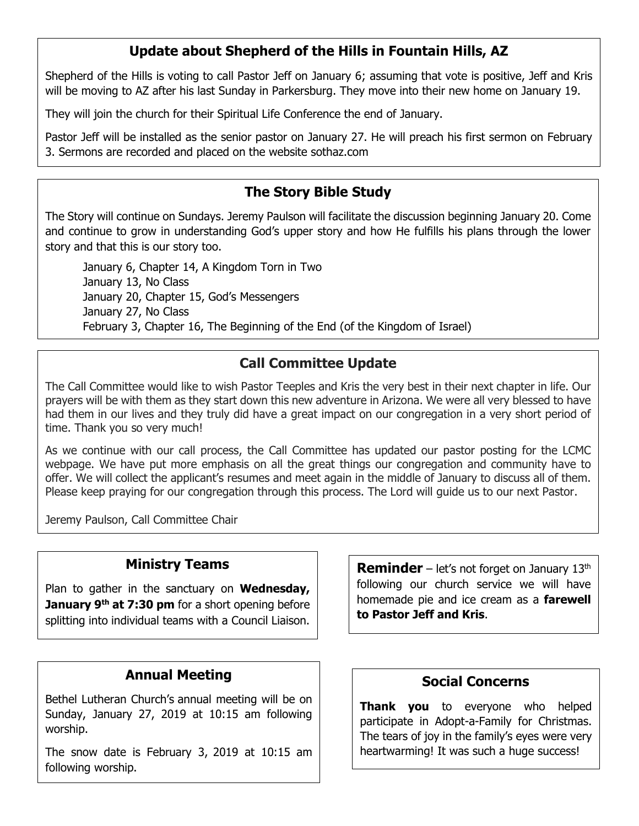## **Update about Shepherd of the Hills in Fountain Hills, AZ**

Shepherd of the Hills is voting to call Pastor Jeff on January 6; assuming that vote is positive, Jeff and Kris will be moving to AZ after his last Sunday in Parkersburg. They move into their new home on January 19.

They will join the church for their Spiritual Life Conference the end of January.

Pastor Jeff will be installed as the senior pastor on January 27. He will preach his first sermon on February 3. Sermons are recorded and placed on the website sothaz.com

### **The Story Bible Study**

The Story will continue on Sundays. Jeremy Paulson will facilitate the discussion beginning January 20. Come and continue to grow in understanding God's upper story and how He fulfills his plans through the lower story and that this is our story too.

January 6, Chapter 14, A Kingdom Torn in Two January 13, No Class January 20, Chapter 15, God's Messengers January 27, No Class February 3, Chapter 16, The Beginning of the End (of the Kingdom of Israel)

## **Call Committee Update**

The Call Committee would like to wish Pastor Teeples and Kris the very best in their next chapter in life. Our prayers will be with them as they start down this new adventure in Arizona. We were all very blessed to have had them in our lives and they truly did have a great impact on our congregation in a very short period of time. Thank you so very much!

As we continue with our call process, the Call Committee has updated our pastor posting for the LCMC webpage. We have put more emphasis on all the great things our congregation and community have to offer. We will collect the applicant's resumes and meet again in the middle of January to discuss all of them. Please keep praying for our congregation through this process. The Lord will guide us to our next Pastor.

Jeremy Paulson, Call Committee Chair

### **Ministry Teams**

Plan to gather in the sanctuary on **Wednesday, January 9th at 7:30 pm** for a short opening before splitting into individual teams with a Council Liaison.

### **Annual Meeting**

Bethel Lutheran Church's annual meeting will be on Sunday, January 27, 2019 at 10:15 am following worship.

The snow date is February 3, 2019 at 10:15 am following worship.

**Reminder** – let's not forget on January 13<sup>th</sup> following our church service we will have homemade pie and ice cream as a **farewell to Pastor Jeff and Kris**.

#### **Social Concerns**

**Thank you** to everyone who helped participate in Adopt-a-Family for Christmas. The tears of joy in the family's eyes were very heartwarming! It was such a huge success!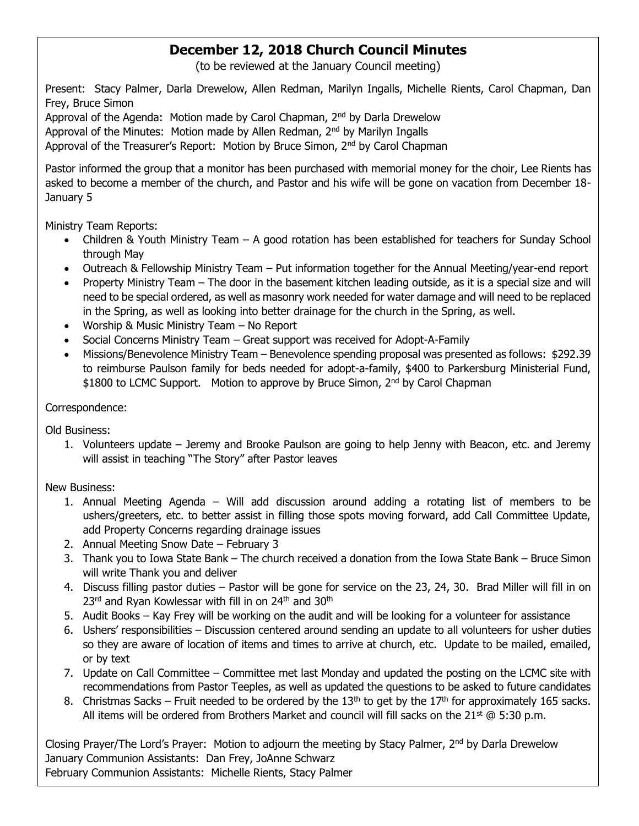# **December 12, 2018 Church Council Minutes**

(to be reviewed at the January Council meeting)

Present: Stacy Palmer, Darla Drewelow, Allen Redman, Marilyn Ingalls, Michelle Rients, Carol Chapman, Dan Frey, Bruce Simon

Approval of the Agenda: Motion made by Carol Chapman, 2<sup>nd</sup> by Darla Drewelow

Approval of the Minutes: Motion made by Allen Redman, 2<sup>nd</sup> by Marilyn Ingalls

Approval of the Treasurer's Report: Motion by Bruce Simon, 2<sup>nd</sup> by Carol Chapman

Pastor informed the group that a monitor has been purchased with memorial money for the choir, Lee Rients has asked to become a member of the church, and Pastor and his wife will be gone on vacation from December 18- January 5

Ministry Team Reports:

- Children & Youth Ministry Team A good rotation has been established for teachers for Sunday School through May
- Outreach & Fellowship Ministry Team Put information together for the Annual Meeting/year-end report
- Property Ministry Team The door in the basement kitchen leading outside, as it is a special size and will need to be special ordered, as well as masonry work needed for water damage and will need to be replaced in the Spring, as well as looking into better drainage for the church in the Spring, as well.
- Worship & Music Ministry Team No Report
- Social Concerns Ministry Team Great support was received for Adopt-A-Family
- Missions/Benevolence Ministry Team Benevolence spending proposal was presented as follows: \$292.39 to reimburse Paulson family for beds needed for adopt-a-family, \$400 to Parkersburg Ministerial Fund, \$1800 to LCMC Support. Motion to approve by Bruce Simon, 2<sup>nd</sup> by Carol Chapman

#### Correspondence:

Old Business:

1. Volunteers update – Jeremy and Brooke Paulson are going to help Jenny with Beacon, etc. and Jeremy will assist in teaching "The Story" after Pastor leaves

#### New Business:

- 1. Annual Meeting Agenda Will add discussion around adding a rotating list of members to be ushers/greeters, etc. to better assist in filling those spots moving forward, add Call Committee Update, add Property Concerns regarding drainage issues
- 2. Annual Meeting Snow Date February 3
- 3. Thank you to Iowa State Bank The church received a donation from the Iowa State Bank Bruce Simon will write Thank you and deliver
- 4. Discuss filling pastor duties Pastor will be gone for service on the 23, 24, 30. Brad Miller will fill in on 23<sup>rd</sup> and Ryan Kowlessar with fill in on 24<sup>th</sup> and 30<sup>th</sup>
- 5. Audit Books Kay Frey will be working on the audit and will be looking for a volunteer for assistance
- 6. Ushers' responsibilities Discussion centered around sending an update to all volunteers for usher duties so they are aware of location of items and times to arrive at church, etc. Update to be mailed, emailed, or by text
- 7. Update on Call Committee Committee met last Monday and updated the posting on the LCMC site with recommendations from Pastor Teeples, as well as updated the questions to be asked to future candidates
- 8. Christmas Sacks Fruit needed to be ordered by the  $13<sup>th</sup>$  to get by the  $17<sup>th</sup>$  for approximately 165 sacks. All items will be ordered from Brothers Market and council will fill sacks on the  $21^{st}$  @ 5:30 p.m.

Closing Prayer/The Lord's Prayer: Motion to adjourn the meeting by Stacy Palmer, 2<sup>nd</sup> by Darla Drewelow January Communion Assistants: Dan Frey, JoAnne Schwarz February Communion Assistants: Michelle Rients, Stacy Palmer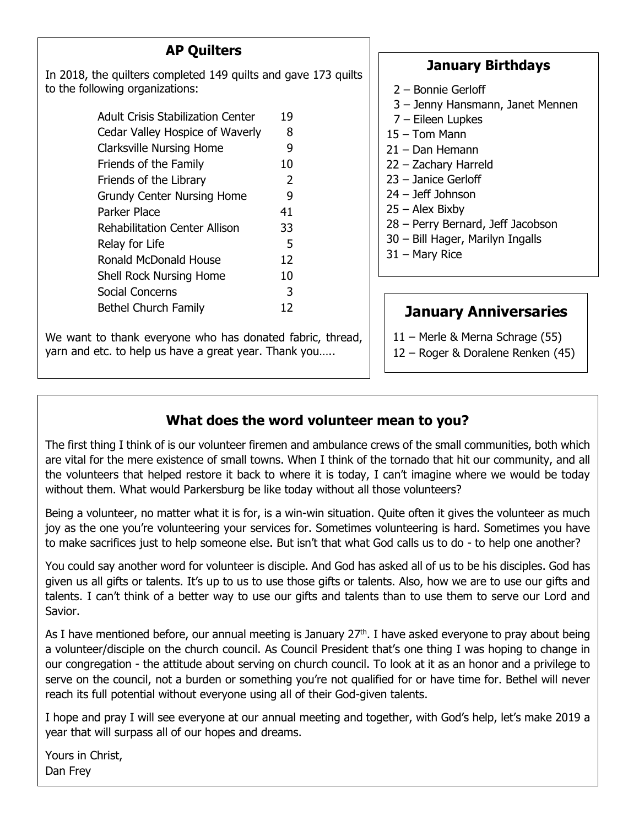# **AP Quilters**

D

In 2018, the quilters completed 149 quilts and gave 173 quilts to the following organizations:

| <b>Adult Crisis Stabilization Center</b> | 19 |
|------------------------------------------|----|
| Cedar Valley Hospice of Waverly          | 8  |
| <b>Clarksville Nursing Home</b>          | 9  |
| Friends of the Family                    | 10 |
| Friends of the Library                   | 2  |
| <b>Grundy Center Nursing Home</b>        | 9  |
| Parker Place                             | 41 |
| <b>Rehabilitation Center Allison</b>     | 33 |
| Relay for Life                           | 5  |
| Ronald McDonald House                    | 12 |
| <b>Shell Rock Nursing Home</b>           | 10 |
| Social Concerns                          | 3  |
| <b>Bethel Church Family</b>              | 12 |

We want to thank everyone who has donated fabric, thread, yarn and etc. to help us have a great year. Thank you…..

### **January Birthdays**

- 2 Bonnie Gerloff
- 3 Jenny Hansmann, Janet Mennen
- 7 Eileen Lupkes
- 15 Tom Mann
- 21 Dan Hemann
- 22 Zachary Harreld
- 23 Janice Gerloff
- 24 Jeff Johnson
- 25 Alex Bixby
- 28 Perry Bernard, Jeff Jacobson
- 30 Bill Hager, Marilyn Ingalls
- 31 Mary Rice

# **January Anniversaries**

- 11 Merle & Merna Schrage (55)
- 12 Roger & Doralene Renken (45)

# **What does the word volunteer mean to you?**

The first thing I think of is our volunteer firemen and ambulance crews of the small communities, both which are vital for the mere existence of small towns. When I think of the tornado that hit our community, and all the volunteers that helped restore it back to where it is today, I can't imagine where we would be today without them. What would Parkersburg be like today without all those volunteers?

Being a volunteer, no matter what it is for, is a win-win situation. Quite often it gives the volunteer as much joy as the one you're volunteering your services for. Sometimes volunteering is hard. Sometimes you have to make sacrifices just to help someone else. But isn't that what God calls us to do - to help one another?

You could say another word for volunteer is disciple. And God has asked all of us to be his disciples. God has given us all gifts or talents. It's up to us to use those gifts or talents. Also, how we are to use our gifts and talents. I can't think of a better way to use our gifts and talents than to use them to serve our Lord and Savior.

As I have mentioned before, our annual meeting is January  $27<sup>th</sup>$ . I have asked everyone to pray about being a volunteer/disciple on the church council. As Council President that's one thing I was hoping to change in our congregation - the attitude about serving on church council. To look at it as an honor and a privilege to serve on the council, not a burden or something you're not qualified for or have time for. Bethel will never reach its full potential without everyone using all of their God-given talents.

I hope and pray I will see everyone at our annual meeting and together, with God's help, let's make 2019 a year that will surpass all of our hopes and dreams.

Yours in Christ, Dan Frey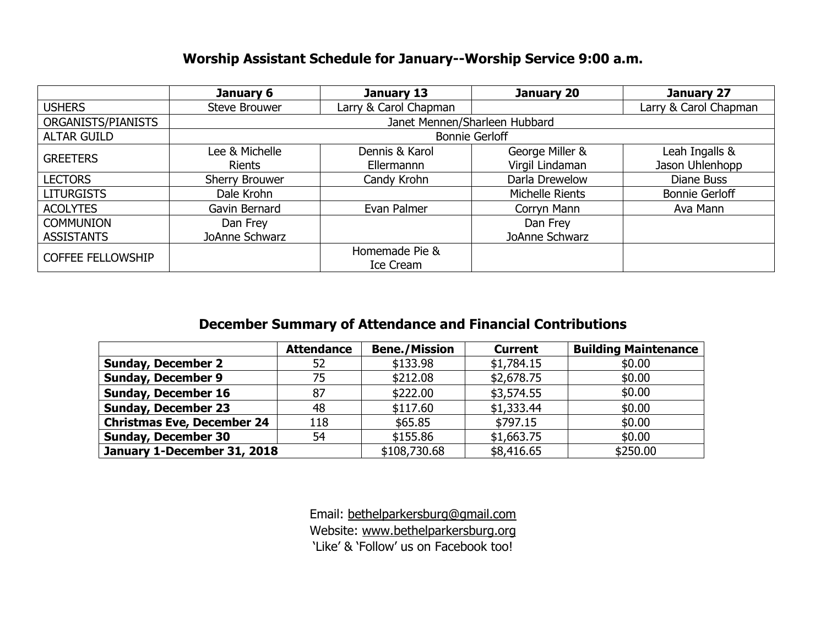### **Worship Assistant Schedule for January--Worship Service 9:00 a.m.**

|                          | January 6             | January 13<br>January 20      |                 | January 27            |  |  |  |
|--------------------------|-----------------------|-------------------------------|-----------------|-----------------------|--|--|--|
| <b>USHERS</b>            | Steve Brouwer         | Larry & Carol Chapman         |                 | Larry & Carol Chapman |  |  |  |
| ORGANISTS/PIANISTS       |                       | Janet Mennen/Sharleen Hubbard |                 |                       |  |  |  |
| <b>ALTAR GUILD</b>       |                       | <b>Bonnie Gerloff</b>         |                 |                       |  |  |  |
| <b>GREETERS</b>          | Lee & Michelle        | Dennis & Karol                | George Miller & | Leah Ingalls &        |  |  |  |
|                          | <b>Rients</b>         | Ellermannn                    | Virgil Lindaman | Jason Uhlenhopp       |  |  |  |
| <b>LECTORS</b>           | <b>Sherry Brouwer</b> | Candy Krohn                   | Darla Drewelow  | Diane Buss            |  |  |  |
| <b>LITURGISTS</b>        | Dale Krohn            |                               | Michelle Rients | <b>Bonnie Gerloff</b> |  |  |  |
| <b>ACOLYTES</b>          | Gavin Bernard         | Evan Palmer                   | Corryn Mann     | Ava Mann              |  |  |  |
| <b>COMMUNION</b>         | Dan Frey              |                               | Dan Frey        |                       |  |  |  |
| <b>ASSISTANTS</b>        | JoAnne Schwarz        |                               | JoAnne Schwarz  |                       |  |  |  |
| <b>COFFEE FELLOWSHIP</b> |                       | Homemade Pie &                |                 |                       |  |  |  |
|                          |                       | Ice Cream                     |                 |                       |  |  |  |

### **December Summary of Attendance and Financial Contributions**

|                                   | <b>Attendance</b> | <b>Bene./Mission</b> | <b>Current</b> | <b>Building Maintenance</b> |
|-----------------------------------|-------------------|----------------------|----------------|-----------------------------|
| <b>Sunday, December 2</b>         | 52                | \$133.98             | \$1,784.15     | \$0.00                      |
| <b>Sunday, December 9</b>         | 75                | \$212.08             | \$2,678.75     | \$0.00                      |
| <b>Sunday, December 16</b>        | 87                | \$222.00             | \$3,574.55     | \$0.00                      |
| <b>Sunday, December 23</b>        | 48                | \$117.60             | \$1,333.44     | \$0.00                      |
| <b>Christmas Eve, December 24</b> | 118               | \$65.85              | \$797.15       | \$0.00                      |
| <b>Sunday, December 30</b>        | 54                | \$155.86             | \$1,663.75     | \$0.00                      |
| January 1-December 31, 2018       |                   | \$108,730.68         | \$8,416.65     | \$250.00                    |

Email: [bethelparkersburg@gmail.com](mailto:bethelparkersburg@gmail.com) Website: [www.bethelparkersburg.org](http://www.bethelparkersburg.org/) 'Like' & 'Follow' us on Facebook too!